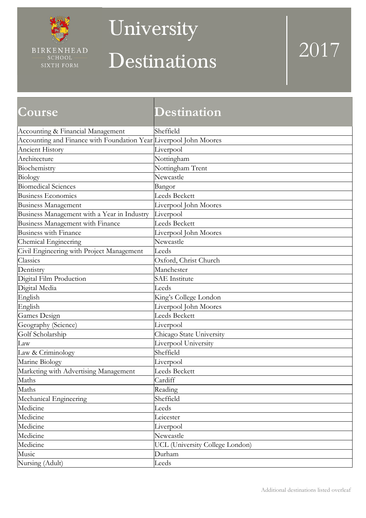

### University

# Destinations 2017

| <b>Course</b>                                                     | Destination                            |
|-------------------------------------------------------------------|----------------------------------------|
| Accounting & Financial Management                                 | Sheffield                              |
| Accounting and Finance with Foundation Year Liverpool John Moores |                                        |
| <b>Ancient History</b>                                            | Liverpool                              |
| Architecture                                                      | Nottingham                             |
| Biochemistry                                                      | Nottingham Trent                       |
| Biology                                                           | Newcastle                              |
| <b>Biomedical Sciences</b>                                        | Bangor                                 |
| <b>Business Economics</b>                                         | <b>Leeds Beckett</b>                   |
| <b>Business Management</b>                                        | Liverpool John Moores                  |
| Business Management with a Year in Industry                       | Liverpool                              |
| Business Management with Finance                                  | <b>Leeds Beckett</b>                   |
| <b>Business with Finance</b>                                      | Liverpool John Moores                  |
| Chemical Engineering                                              | Newcastle                              |
| Civil Engineering with Project Management                         | Leeds                                  |
| Classics                                                          | Oxford, Christ Church                  |
| Dentistry                                                         | Manchester                             |
| Digital Film Production                                           | <b>SAE</b> Institute                   |
| Digital Media                                                     | Leeds                                  |
| English                                                           | King's College London                  |
| English                                                           | Liverpool John Moores                  |
| Games Design                                                      | <b>Leeds Beckett</b>                   |
| Geography (Science)                                               | Liverpool                              |
| Golf Scholarship                                                  | Chicago State University               |
| Law                                                               | Liverpool University                   |
| Law & Criminology                                                 | Sheffield                              |
| Marine Biology                                                    | Liverpool                              |
| Marketing with Advertising Management                             | Leeds Beckett                          |
| Maths                                                             | Cardiff                                |
| Maths                                                             | Reading                                |
| Mechanical Engineering                                            | Sheffield                              |
| Medicine                                                          | Leeds                                  |
| Medicine                                                          | Leicester                              |
| Medicine                                                          | Liverpool                              |
| Medicine                                                          | Newcastle                              |
| Medicine                                                          | <b>UCL</b> (University College London) |
| Music                                                             | Durham                                 |
| Nursing (Adult)                                                   | Leeds                                  |